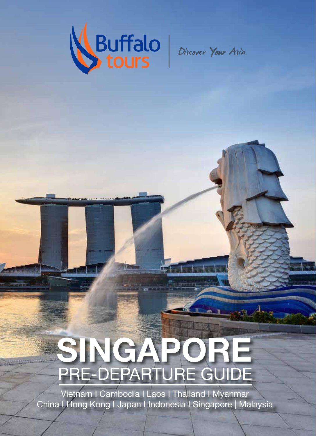

# PRE-DEPARTURE GUIDE SINGAPORE

Vietnam I Cambodia I Laos I Thailand I Myanmar China I Hong Kong I Japan I Indonesia I Singapore | Malaysia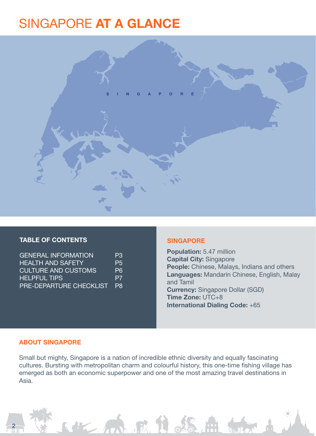### SINGAPORE AT A GLANCE



#### TABLE OF CONTENTS **SINGAPORE**

| <b>GENERAL INFORMATION</b> | P <sub>3</sub> |
|----------------------------|----------------|
| HEALTH AND SAFETY          | P5.            |
| <b>CULTURE AND CUSTOMS</b> | P <sub>6</sub> |
| <b>HELPFUL TIPS</b>        | P7             |
| PRE-DEPARTURE CHECKLIST    | <b>P</b>       |

Population: 5.47 million Capital City: Singapore People: Chinese, Malays, Indians and others Languages: Mandarin Chinese, English, Malay and Tamil Currency: Singapore Dollar (SGD) Time Zone: UTC+8 International Dialing Code: +65

#### ABOUT SINGAPORE

2

Small but mighty, Singapore is a nation of incredible ethnic diversity and equally fascinating cultures. Bursting with metropolitan charm and colourful history, this one-time fishing village has emerged as both an economic superpower and one of the most amazing travel destinations in Asia.

The fine of the Reads . this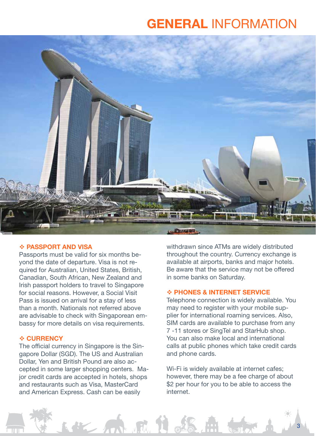### GENERAL INFORMATION



#### **❖ PASSPORT AND VISA**

Passports must be valid for six months beyond the date of departure. Visa is not required for Australian, United States, British, Canadian, South African, New Zealand and Irish passport holders to travel to Singapore for social reasons. However, a Social Visit Pass is issued on arrival for a stay of less than a month. Nationals not referred above are advisable to check with Singaporean embassy for more details on visa requirements.

#### **❖ CURRENCY**

The official currency in Singapore is the Singapore Dollar (SGD). The US and Australian Dollar, Yen and British Pound are also accepted in some larger shopping centers. Major credit cards are accepted in hotels, shops and restaurants such as Visa, MasterCard and American Express. Cash can be easily

AZ AM ARA II

withdrawn since ATMs are widely distributed throughout the country. Currency exchange is available at airports, banks and major hotels. Be aware that the service may not be offered in some banks on Saturday.

#### **❖ PHONES & INTERNET SERVICE**

Telephone connection is widely available. You may need to register with your mobile supplier for international roaming services. Also, SIM cards are available to purchase from any 7 -11 stores or SingTel and StarHub shop. You can also make local and international calls at public phones which take credit cards and phone cards.

Wi-Fi is widely available at internet cafes; however, there may be a fee charge of about \$2 per hour for you to be able to access the internet.

33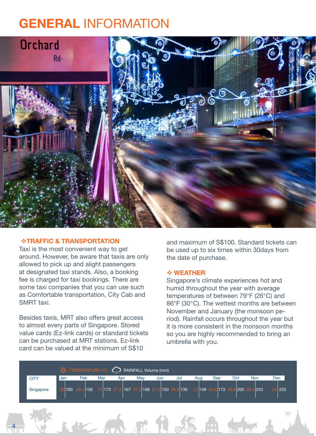### GENERAL INFORMATION



#### TRAFFIC & TRANSPORTATION

Taxi is the most convenient way to get around. However, be aware that taxis are only allowed to pick up and alight passengers at designated taxi stands. Also, a booking fee is charged for taxi bookings. There are some taxi companies that you can use such as Comfortable transportation, City Cab and SMRT taxi.

Besides taxis, MRT also offers great access to almost every parts of Singapore. Stored value cards (Ez-link cards) or standard tickets can be purchased at MRT stations. Ez-link card can be valued at the minimum of S\$10

4

and maximum of S\$100. Standard tickets can be used up to six times within 30days from the date of purchase.

#### WEATHER

Singapore's climate experiences hot and humid throughout the year with average temperatures of between 79°F (26°C) and 86°F (30°C). The wettest months are between November and January (the monsoon period). Rainfall occurs throughout the year but it is more consistent in the monsoon months so you are highly recommended to bring an umbrella with you.

|             |     | $\cdot$ O TEMPERATURE (°C) $\sim$ RAINFALL Volume (mm)                                       |     |     |     |     |     |     |     |     |     |     |
|-------------|-----|----------------------------------------------------------------------------------------------|-----|-----|-----|-----|-----|-----|-----|-----|-----|-----|
| <b>CITY</b> | Jan | Feb                                                                                          | Mar | Apr | Mav | Jun | Jul | Aug | Sep | Oct | Nov | Dec |
| Singapore   |     | 26 180 26.4 156 27 173 27.2 167 27.5 168 27.3 150 26.9 136 27 149 26.8 173 26.9 200 26.4 233 |     |     |     |     |     |     |     |     |     | 255 |

1. 12 m m i & S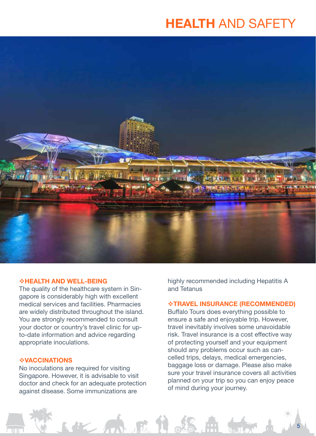### HEALTH AND SAFETY



#### HEALTH AND WELL-BEING

The quality of the healthcare system in Singapore is considerably high with excellent medical services and facilities. Pharmacies are widely distributed throughout the island. You are strongly recommended to consult your doctor or country's travel clinic for upto-date information and advice regarding appropriate inoculations.

#### *\*VACCINATIONS*

No inoculations are required for visiting Singapore. However, it is advisable to visit doctor and check for an adequate protection against disease. Some immunizations are

WE AN AM L &

highly recommended including Hepatitis A and Tetanus

#### TRAVEL INSURANCE (RECOMMENDED)

Buffalo Tours does everything possible to ensure a safe and enjoyable trip. However, travel inevitably involves some unavoidable risk. Travel insurance is a cost effective way of protecting yourself and your equipment should any problems occur such as cancelled trips, delays, medical emergencies, baggage loss or damage. Please also make sure your travel insurance covers all activities planned on your trip so you can enjoy peace of mind during your journey.

55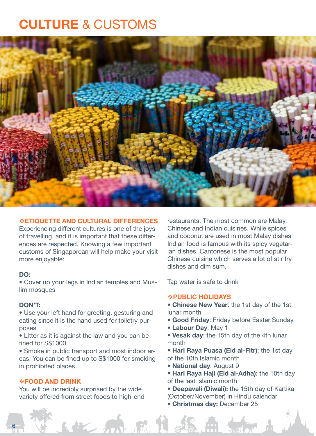### CULTURE & CUSTOMS



#### ETIQUETTE AND CULTURAL DIFFERENCES

Experiencing different cultures is one of the joys of travelling, and it is important that these differences are respected. Knowing a few important customs of Singaporean will help make your visit more enjoyable:

#### DO:

• Cover up your legs in Indian temples and Muslim mosques

#### DON'T:

6

- Use your left hand for greeting, gesturing and eating since it is the hand used for toiletry purposes
- Litter as it is against the law and you can be fined for S\$1000

• Smoke in public transport and most indoor areas. You can be fined up to S\$1000 for smoking in prohibited places

#### FOOD AND DRINK

You will be incredibly surprised by the wide variety offered from street foods to high-end

 $K_{\rm{2}}$  /m

restaurants. The most common are Malay, Chinese and Indian cuisines. While spices and coconut are used in most Malay dishes Indian food is famous with its spicy vegetarian dishes. Cantonese is the most popular Chinese cuisine which serves a lot of stir fry dishes and dim sum.

Tap water is safe to drink

#### PUBLIC HOLIDAYS

- Chinese New Year: the 1st day of the 1st lunar month
- Good Friday: Friday before Easter Sunday
- Labour Day: May 1
- Vesak day: the 15th day of the 4th lunar month
- Hari Raya Puasa (Eid al-Fitr): the 1st day of the 10th Islamic month
- National day: August 9
- Hari Raya Haji (Eid al-Adha): the 10th day of the last Islamic month
- Deepavali (Diwali): the 15th day of Kartika (October/November) in Hindu calendar
- Christmas day: December 25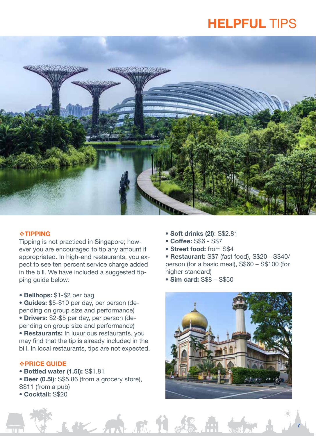## HELPFUL TIPS



#### **\*TIPPING**

Tipping is not practiced in Singapore; however you are encouraged to tip any amount if appropriated. In high-end restaurants, you expect to see ten percent service charge added in the bill. We have included a suggested tipping guide below:

• Bellhops: \$1-\$2 per bag

• Guides: \$5-\$10 per day, per person (depending on group size and performance) • Drivers: \$2-\$5 per day, per person (depending on group size and performance) • Restaurants: In luxurious restaurants, you

may find that the tip is already included in the bill. In local restaurants, tips are not expected.

#### *<b>\*PRICE GUIDE*

- Bottled water (1.5l): S\$1.81
- Beer (0.5l): S\$5.86 (from a grocery store), S\$11 (from a pub)

第一个小说 13

• Cocktail: S\$20

- Soft drinks (2l): S\$2.81
- Coffee: S\$6 S\$7
- Street food: from S\$4
- Restaurant: S\$7 (fast food), S\$20 S\$40/ person (for a basic meal), S\$60 – S\$100 (for higher standard)

• Sim card: S\$8 – S\$50



77